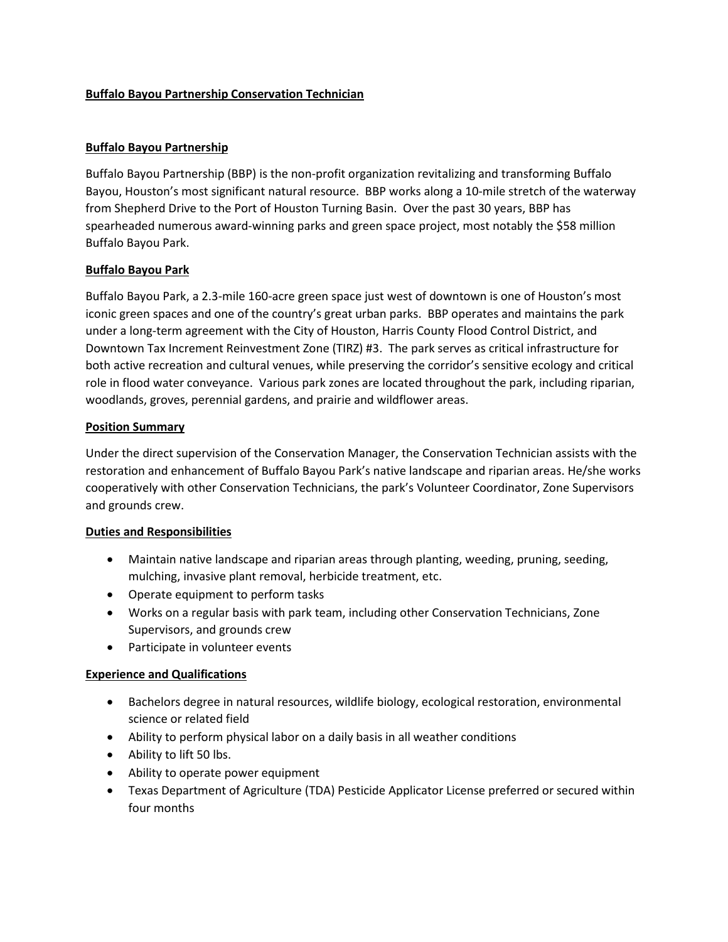## **Buffalo Bayou Partnership Conservation Technician**

## **Buffalo Bayou Partnership**

Buffalo Bayou Partnership (BBP) is the non-profit organization revitalizing and transforming Buffalo Bayou, Houston's most significant natural resource. BBP works along a 10-mile stretch of the waterway from Shepherd Drive to the Port of Houston Turning Basin. Over the past 30 years, BBP has spearheaded numerous award-winning parks and green space project, most notably the \$58 million Buffalo Bayou Park.

## **Buffalo Bayou Park**

Buffalo Bayou Park, a 2.3-mile 160-acre green space just west of downtown is one of Houston's most iconic green spaces and one of the country's great urban parks. BBP operates and maintains the park under a long-term agreement with the City of Houston, Harris County Flood Control District, and Downtown Tax Increment Reinvestment Zone (TIRZ) #3. The park serves as critical infrastructure for both active recreation and cultural venues, while preserving the corridor's sensitive ecology and critical role in flood water conveyance. Various park zones are located throughout the park, including riparian, woodlands, groves, perennial gardens, and prairie and wildflower areas.

#### **Position Summary**

Under the direct supervision of the Conservation Manager, the Conservation Technician assists with the restoration and enhancement of Buffalo Bayou Park's native landscape and riparian areas. He/she works cooperatively with other Conservation Technicians, the park's Volunteer Coordinator, Zone Supervisors and grounds crew.

#### **Duties and Responsibilities**

- Maintain native landscape and riparian areas through planting, weeding, pruning, seeding, mulching, invasive plant removal, herbicide treatment, etc.
- Operate equipment to perform tasks
- Works on a regular basis with park team, including other Conservation Technicians, Zone Supervisors, and grounds crew
- Participate in volunteer events

#### **Experience and Qualifications**

- Bachelors degree in natural resources, wildlife biology, ecological restoration, environmental science or related field
- Ability to perform physical labor on a daily basis in all weather conditions
- Ability to lift 50 lbs.
- Ability to operate power equipment
- Texas Department of Agriculture (TDA) Pesticide Applicator License preferred or secured within four months